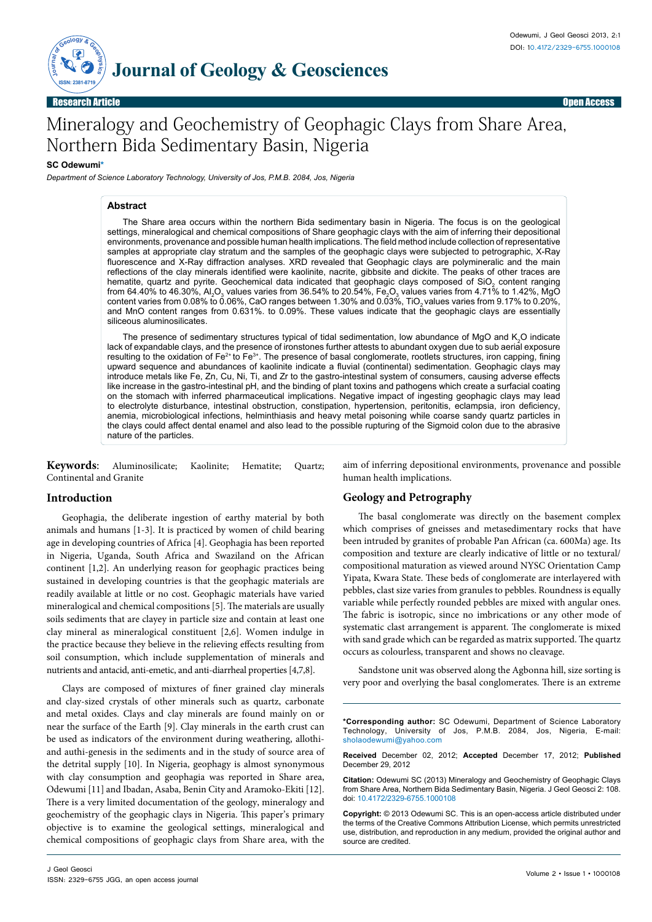**Journal of Geology & Geosciences** 

Research Article Open Access

**ISSN: 2381-8719**

**oJ**

# Mineralogy and Geochemistry of Geophagic Clays from Share Area, Northern Bida Sedimentary Basin, Nigeria

#### **SC Odewumi\***

*Department of Science Laboratory Technology, University of Jos, P.M.B. 2084, Jos, Nigeria*

#### **Abstract**

The Share area occurs within the northern Bida sedimentary basin in Nigeria. The focus is on the geological settings, mineralogical and chemical compositions of Share geophagic clays with the aim of inferring their depositional environments, provenance and possible human health implications. The field method include collection of representative samples at appropriate clay stratum and the samples of the geophagic clays were subjected to petrographic, X-Ray fluorescence and X-Ray diffraction analyses. XRD revealed that Geophagic clays are polymineralic and the main reflections of the clay minerals identified were kaolinite, nacrite, gibbsite and dickite. The peaks of other traces are hematite, quartz and pyrite. Geochemical data indicated that geophagic clays composed of SiO<sub>2</sub> content ranging from 64.40% to 46.30%, Al $_2$ O<sub>3</sub> values varies from 36.54% to 20.54%, Fe $_2$ O<sub>3</sub> values varies from 4.71% to 1.42%, MgO content varies from 0.08% to 0.06%, CaO ranges between 1.30% and 0.03%, TiO<sub>2</sub> values varies from 9.17% to 0.20%, and MnO content ranges from 0.631%. to 0.09%. These values indicate that the geophagic clays are essentially siliceous aluminosilicates.

The presence of sedimentary structures typical of tidal sedimentation, low abundance of MgO and K<sub>2</sub>O indicate lack of expandable clays, and the presence of ironstones further attests to abundant oxygen due to sub aerial exposure resulting to the oxidation of  $Fe^{2+}$  to  $Fe^{3+}$ . The presence of basal conglomerate, rootlets structures, iron capping, fining upward sequence and abundances of kaolinite indicate a fluvial (continental) sedimentation. Geophagic clays may introduce metals like Fe, Zn, Cu, Ni, Ti, and Zr to the gastro-intestinal system of consumers, causing adverse effects like increase in the gastro-intestinal pH, and the binding of plant toxins and pathogens which create a surfacial coating on the stomach with inferred pharmaceutical implications. Negative impact of ingesting geophagic clays may lead to electrolyte disturbance, intestinal obstruction, constipation, hypertension, peritonitis, eclampsia, iron deficiency, anemia, microbiological infections, helminthiasis and heavy metal poisoning while coarse sandy quartz particles in the clays could affect dental enamel and also lead to the possible rupturing of the Sigmoid colon due to the abrasive nature of the particles.

**Keywords**: Aluminosilicate; Kaolinite; Hematite; Quartz; Continental and Granite

### **Introduction**

Geophagia, the deliberate ingestion of earthy material by both animals and humans [1-3]. It is practiced by women of child bearing age in developing countries of Africa [4]. Geophagia has been reported in Nigeria, Uganda, South Africa and Swaziland on the African continent [1,2]. An underlying reason for geophagic practices being sustained in developing countries is that the geophagic materials are readily available at little or no cost. Geophagic materials have varied mineralogical and chemical compositions [5]. The materials are usually soils sediments that are clayey in particle size and contain at least one clay mineral as mineralogical constituent [2,6]. Women indulge in the practice because they believe in the relieving effects resulting from soil consumption, which include supplementation of minerals and nutrients and antacid, anti-emetic, and anti-diarrheal properties [4,7,8].

Clays are composed of mixtures of finer grained clay minerals and clay-sized crystals of other minerals such as quartz, carbonate and metal oxides. Clays and clay minerals are found mainly on or near the surface of the Earth [9]. Clay minerals in the earth crust can be used as indicators of the environment during weathering, allothiand authi-genesis in the sediments and in the study of source area of the detrital supply [10]. In Nigeria, geophagy is almost synonymous with clay consumption and geophagia was reported in Share area, Odewumi [11] and Ibadan, Asaba, Benin City and Aramoko-Ekiti [12]. There is a very limited documentation of the geology, mineralogy and geochemistry of the geophagic clays in Nigeria. This paper's primary objective is to examine the geological settings, mineralogical and chemical compositions of geophagic clays from Share area, with the

aim of inferring depositional environments, provenance and possible human health implications.

#### **Geology and Petrography**

The basal conglomerate was directly on the basement complex which comprises of gneisses and metasedimentary rocks that have been intruded by granites of probable Pan African (ca. 600Ma) age. Its composition and texture are clearly indicative of little or no textural/ compositional maturation as viewed around NYSC Orientation Camp Yipata, Kwara State. These beds of conglomerate are interlayered with pebbles, clast size varies from granules to pebbles. Roundness is equally variable while perfectly rounded pebbles are mixed with angular ones. The fabric is isotropic, since no imbrications or any other mode of systematic clast arrangement is apparent. The conglomerate is mixed with sand grade which can be regarded as matrix supported. The quartz occurs as colourless, transparent and shows no cleavage.

Sandstone unit was observed along the Agbonna hill, size sorting is very poor and overlying the basal conglomerates. There is an extreme

**\*Corresponding author:** SC Odewumi, Department of Science Laboratory Technology, University of Jos, P.M.B. 2084, Jos, Nigeria, E-mail: sholaodewumi@yahoo.com

**Received** December 02, 2012; **Accepted** December 17, 2012; **Published** December 29, 2012

**Citation:** Odewumi SC (2013) Mineralogy and Geochemistry of Geophagic Clays from Share Area, Northern Bida Sedimentary Basin, Nigeria. J Geol Geosci 2: 108. doi: 10.4172/2329-6755.1000108

**Copyright:** © 2013 Odewumi SC. This is an open-access article distributed under the terms of the Creative Commons Attribution License, which permits unrestricted use, distribution, and reproduction in any medium, provided the original author and source are credited.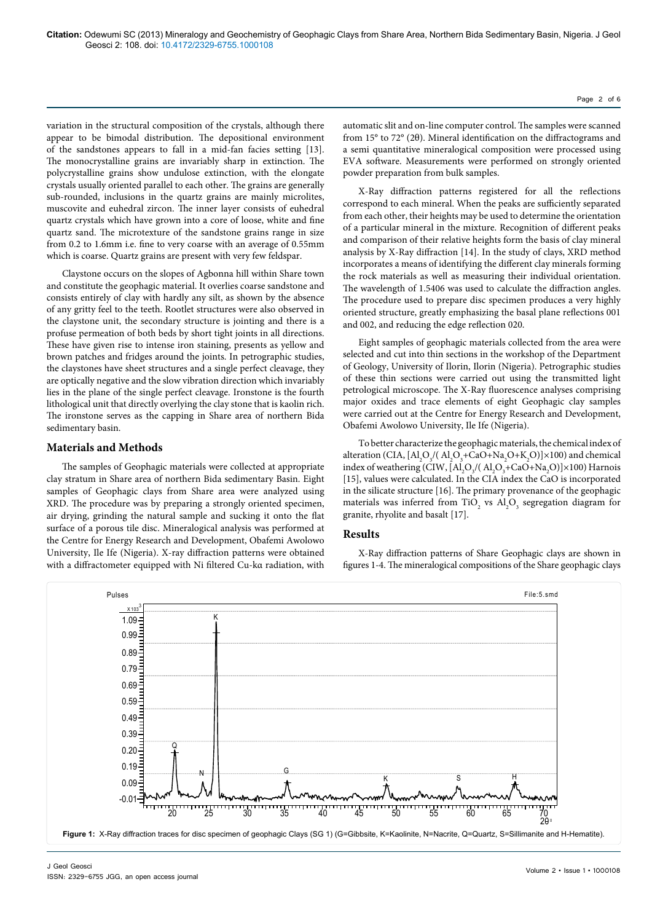variation in the structural composition of the crystals, although there appear to be bimodal distribution. The depositional environment of the sandstones appears to fall in a mid-fan facies setting [13]. The monocrystalline grains are invariably sharp in extinction. The polycrystalline grains show undulose extinction, with the elongate crystals usually oriented parallel to each other. The grains are generally sub-rounded, inclusions in the quartz grains are mainly microlites, muscovite and euhedral zircon. The inner layer consists of euhedral quartz crystals which have grown into a core of loose, white and fine quartz sand. The microtexture of the sandstone grains range in size from 0.2 to 1.6mm i.e. fine to very coarse with an average of 0.55mm which is coarse. Quartz grains are present with very few feldspar.

Claystone occurs on the slopes of Agbonna hill within Share town and constitute the geophagic material. It overlies coarse sandstone and consists entirely of clay with hardly any silt, as shown by the absence of any gritty feel to the teeth. Rootlet structures were also observed in the claystone unit, the secondary structure is jointing and there is a profuse permeation of both beds by short tight joints in all directions. These have given rise to intense iron staining, presents as yellow and brown patches and fridges around the joints. In petrographic studies, the claystones have sheet structures and a single perfect cleavage, they are optically negative and the slow vibration direction which invariably lies in the plane of the single perfect cleavage. Ironstone is the fourth lithological unit that directly overlying the clay stone that is kaolin rich. The ironstone serves as the capping in Share area of northern Bida sedimentary basin.

## **Materials and Methods**

The samples of Geophagic materials were collected at appropriate clay stratum in Share area of northern Bida sedimentary Basin. Eight samples of Geophagic clays from Share area were analyzed using XRD. The procedure was by preparing a strongly oriented specimen, air drying, grinding the natural sample and sucking it onto the flat surface of a porous tile disc. Mineralogical analysis was performed at the Centre for Energy Research and Development, Obafemi Awolowo University, Ile Ife (Nigeria). X-ray diffraction patterns were obtained with a diffractometer equipped with Ni filtered Cu-kα radiation, with

Page 2 of 6

automatic slit and on-line computer control. The samples were scanned from 15° to 72° (2θ). Mineral identification on the diffractograms and a semi quantitative mineralogical composition were processed using EVA software. Measurements were performed on strongly oriented powder preparation from bulk samples.

X-Ray diffraction patterns registered for all the reflections correspond to each mineral. When the peaks are sufficiently separated from each other, their heights may be used to determine the orientation of a particular mineral in the mixture. Recognition of different peaks and comparison of their relative heights form the basis of clay mineral analysis by X-Ray diffraction [14]. In the study of clays, XRD method incorporates a means of identifying the different clay minerals forming the rock materials as well as measuring their individual orientation. The wavelength of 1.5406 was used to calculate the diffraction angles. The procedure used to prepare disc specimen produces a very highly oriented structure, greatly emphasizing the basal plane reflections 001 and 002, and reducing the edge reflection 020.

Eight samples of geophagic materials collected from the area were selected and cut into thin sections in the workshop of the Department of Geology, University of Ilorin, Ilorin (Nigeria). Petrographic studies of these thin sections were carried out using the transmitted light petrological microscope. The X-Ray fluorescence analyses comprising major oxides and trace elements of eight Geophagic clay samples were carried out at the Centre for Energy Research and Development, Obafemi Awolowo University, Ile Ife (Nigeria).

To better characterize the geophagic materials, the chemical index of alteration (CIA,  $\left[\text{Al}_2\text{O}_3 / (\text{ Al}_2\text{O}_3 + \text{CaO} + \text{Na}_2\text{O} + \text{K}_2\text{O})\right] \times 100$ ) and chemical index of weathering (CIW,  $\text{[Al}_2\text{O}_3/\text{(Al}_2\text{O}_3+\text{CaO+Na}_2\text{O})]\times 100$ ) Harnois [15], values were calculated. In the CIA index the CaO is incorporated in the silicate structure [16]. The primary provenance of the geophagic materials was inferred from  $TiO<sub>2</sub>$  vs  $Al<sub>2</sub>O<sub>3</sub>$  segregation diagram for granite, rhyolite and basalt [17].

#### **Results**

X-Ray diffraction patterns of Share Geophagic clays are shown in figures 1-4. The mineralogical compositions of the Share geophagic clays

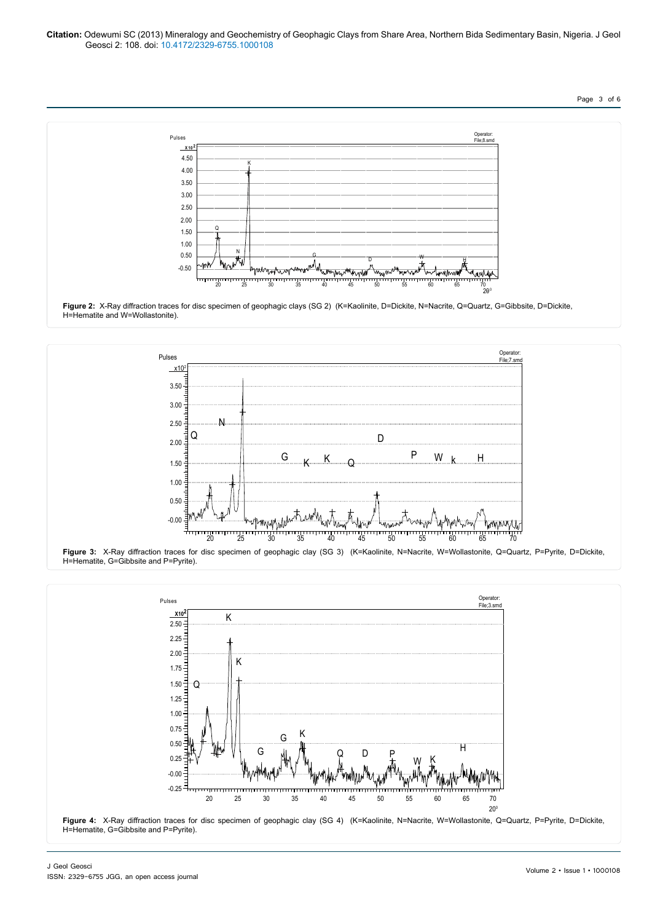



**Figure 2:** X-Ray diffraction traces for disc specimen of geophagic clays (SG 2) (K=Kaolinite, D=Dickite, N=Nacrite, Q=Quartz, G=Gibbsite, D=Dickite, H=Hematite and W=Wollastonite).



**Figure 3:** X-Ray diffraction traces for disc specimen of geophagic clay (SG 3) (K=Kaolinite, N=Nacrite, W=Wollastonite, Q=Quartz, P=Pyrite, D=Dickite, H=Hematite, G=Gibbsite and P=Pyrite).

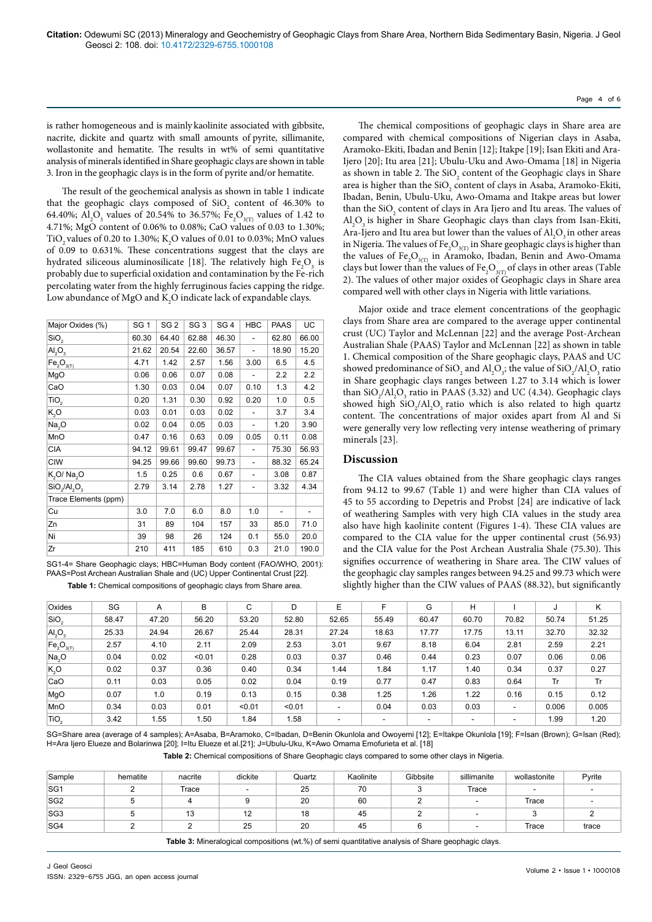is rather homogeneous and is mainly kaolinite associated with gibbsite, nacrite, dickite and quartz with small amounts of pyrite, sillimanite, wollastonite and hematite. The results in wt% of semi quantitative analysis of minerals identified in Share geophagic clays are shown in table 3. Iron in the geophagic clays is in the form of pyrite and/or hematite.

The result of the geochemical analysis as shown in table 1 indicate that the geophagic clays composed of  $SiO_2$  content of 46.30% to 64.40%;  $\text{Al}_2\text{O}_3$  values of 20.54% to 36.57%;  $\text{Fe}_2\text{O}_{3(T)}$  values of 1.42 to 4.71%; MgO content of 0.06% to 0.08%; CaO values of 0.03 to 1.30%; TiO<sub>2</sub> values of 0.20 to 1.30%;  $K_2$ O values of 0.01 to 0.03%; MnO values of 0.09 to 0.631%. These concentrations suggest that the clays are hydrated siliceous aluminosilicate [18]. The relatively high  $\text{Fe}_{\text{2}}\text{O}_{\text{3}}$  is probably due to superficial oxidation and contamination by the Fe-rich percolating water from the highly ferruginous facies capping the ridge. Low abundance of MgO and  $\mathrm{K}_2\mathrm{O}$  indicate lack of expandable clays.

| Major Oxides (%)                   | SG <sub>1</sub> | SG <sub>2</sub> | SG <sub>3</sub> | SG <sub>4</sub> | <b>HBC</b>     | <b>PAAS</b> | UC    |
|------------------------------------|-----------------|-----------------|-----------------|-----------------|----------------|-------------|-------|
| SiO <sub>2</sub>                   | 60.30           | 64.40           | 62.88           | 46.30           |                | 62.80       | 66.00 |
| AI <sub>2</sub> O <sub>3</sub>     | 21.62           | 20.54           | 22.60           | 36.57           | $\overline{a}$ | 18.90       | 15.20 |
| Fe <sub>2</sub> O <sub>3(T)</sub>  | 4.71            | 1.42            | 2.57            | 1.56            | 3.00           | 6.5         | 4.5   |
| MgO                                | 0.06            | 0.06            | 0.07            | 0.08            |                | 2.2         | 2.2   |
| CaO                                | 1.30            | 0.03            | 0.04            | 0.07            | 0.10           | 1.3         | 4.2   |
| TiO <sub>2</sub>                   | 0.20            | 1.31            | 0.30            | 0.92            | 0.20           | 1.0         | 0.5   |
| K,O                                | 0.03            | 0.01            | 0.03            | 0.02            |                | 3.7         | 3.4   |
| Na, O                              | 0.02            | 0.04            | 0.05            | 0.03            | ۰              | 1.20        | 3.90  |
| MnO                                | 0.47            | 0.16            | 0.63            | 0.09            | 0.05           | 0.11        | 0.08  |
| <b>CIA</b>                         | 94.12           | 99.61           | 99.47           | 99.67           |                | 75.30       | 56.93 |
| <b>CIW</b>                         | 94.25           | 99.66           | 99.60           | 99.73           | ۰              | 88.32       | 65.24 |
| K <sub>2</sub> O/Na <sub>2</sub> O | 1.5             | 0.25            | 0.6             | 0.67            |                | 3.08        | 0.87  |
| $SiO2/Al2O3$                       | 2.79            | 3.14            | 2.78            | 1.27            |                | 3.32        | 4.34  |
| Trace Elements (ppm)               |                 |                 |                 |                 |                |             |       |
| Cu                                 | 3.0             | 7.0             | 6.0             | 8.0             | 1.0            |             |       |
| Zn                                 | 31              | 89              | 104             | 157             | 33             | 85.0        | 71.0  |
| Ni                                 | 39              | 98              | 26              | 124             | 0.1            | 55.0        | 20.0  |
| Zr                                 | 210             | 411             | 185             | 610             | 0.3            | 21.0        | 190.0 |

SG1-4= Share Geophagic clays; HBC=Human Body content (FAO/WHO, 2001): PAAS=Post Archean Australian Shale and (UC) Upper Continental Crust [22].

**Table 1:** Chemical compositions of geophagic clays from Share area.

The chemical compositions of geophagic clays in Share area are compared with chemical compositions of Nigerian clays in Asaba, Aramoko-Ekiti, Ibadan and Benin [12]; Itakpe [19]; Isan Ekiti and Ara-Ijero [20]; Itu area [21]; Ubulu-Uku and Awo-Omama [18] in Nigeria as shown in table 2. The  $\mathrm{SiO}_2$  content of the Geophagic clays in Share area is higher than the  $\text{SiO}_2$  content of clays in Asaba, Aramoko-Ekiti, Ibadan, Benin, Ubulu-Uku, Awo-Omama and Itakpe areas but lower than the  $\rm SiO_{_2}$  content of clays in Ara Ijero and Itu areas. The values of  $\text{Al}_2\text{O}_3$  is higher in Share Geophagic clays than clays from Isan-Ekiti, Ara-Ijero and Itu area but lower than the values of  $\text{Al}_2\text{O}_3$  in other areas in Nigeria. The values of Fe $_{2}\mathrm{O}_{_{3(T)}}$  in Share geophagic clays is higher than the values of  $\text{Fe}_2\text{O}_{3(T)}$  in Aramoko, Ibadan, Benin and Awo-Omama clays but lower than the values of  $\mathrm{Fe}_2\mathrm{O}_{_{3(T)}}$  of clays in other areas (Table 2). The values of other major oxides of Geophagic clays in Share area compared well with other clays in Nigeria with little variations.

Major oxide and trace element concentrations of the geophagic clays from Share area are compared to the average upper continental crust (UC) Taylor and McLennan [22] and the average Post-Archean Australian Shale (PAAS) Taylor and McLennan [22] as shown in table 1. Chemical composition of the Share geophagic clays, PAAS and UC showed predominance of  $\text{SiO}_2$  and  $\text{Al}_2\text{O}_3$ ; the value of  $\text{SiO}_2/\text{Al}_2\text{O}_3$  ratio in Share geophagic clays ranges between 1.27 to 3.14 which is lower than  $SiO_2/Al_2O_3$  ratio in PAAS (3.32) and UC (4.34). Geophagic clays showed high  $SiO_2/Al_2O_3$  ratio which is also related to high quartz content. The concentrations of major oxides apart from Al and Si were generally very low reflecting very intense weathering of primary minerals [23].

#### **Discussion**

The CIA values obtained from the Share geophagic clays ranges from 94.12 to 99.67 (Table 1) and were higher than CIA values of 45 to 55 according to Depetris and Probst [24] are indicative of lack of weathering Samples with very high CIA values in the study area also have high kaolinite content (Figures 1-4). These CIA values are compared to the CIA value for the upper continental crust (56.93) and the CIA value for the Post Archean Australia Shale (75.30). This signifies occurrence of weathering in Share area. The CIW values of the geophagic clay samples ranges between 94.25 and 99.73 which were slightly higher than the CIW values of PAAS (88.32), but significantly

| Oxides                            | SG    | A     | В      | C      | D      | E                        | F     | G     | H                        |       | J     | κ     |
|-----------------------------------|-------|-------|--------|--------|--------|--------------------------|-------|-------|--------------------------|-------|-------|-------|
| SiO <sub>2</sub>                  | 58.47 | 47.20 | 56.20  | 53.20  | 52.80  | 52.65                    | 55.49 | 60.47 | 60.70                    | 70.82 | 50.74 | 51.25 |
| AI <sub>2</sub> O <sub>3</sub>    | 25.33 | 24.94 | 26.67  | 25.44  | 28.31  | 27.24                    | 18.63 | 17.77 | 17.75                    | 13.11 | 32.70 | 32.32 |
| Fe <sub>2</sub> O <sub>3(T)</sub> | 2.57  | 4.10  | 2.11   | 2.09   | 2.53   | 3.01                     | 9.67  | 8.18  | 6.04                     | 2.81  | 2.59  | 2.21  |
| Na <sub>2</sub> O                 | 0.04  | 0.02  | < 0.01 | 0.28   | 0.03   | 0.37                     | 0.46  | 0.44  | 0.23                     | 0.07  | 0.06  | 0.06  |
| K <sub>2</sub> O                  | 0.02  | 0.37  | 0.36   | 0.40   | 0.34   | 1.44                     | 1.84  | 1.17  | 1.40                     | 0.34  | 0.37  | 0.27  |
| CaO                               | 0.11  | 0.03  | 0.05   | 0.02   | 0.04   | 0.19                     | 0.77  | 0.47  | 0.83                     | 0.64  | Tr    | Tr    |
| MgO                               | 0.07  | 1.0   | 0.19   | 0.13   | 0.15   | 0.38                     | 1.25  | 1.26  | 1.22                     | 0.16  | 0.15  | 0.12  |
| MnO                               | 0.34  | 0.03  | 0.01   | < 0.01 | < 0.01 | $\overline{\phantom{a}}$ | 0.04  | 0.03  | 0.03                     | -     | 0.006 | 0.005 |
| TiO <sub>2</sub>                  | 3.42  | 1.55  | 1.50   | 1.84   | 1.58   |                          |       |       | $\overline{\phantom{a}}$ |       | 1.99  | 1.20  |

SG=Share area (average of 4 samples); A=Asaba, B=Aramoko, C=Ibadan, D=Benin Okunlola and Owoyemi [12]; E=Itakpe Okunlola [19]; F=Isan (Brown); G=Isan (Red); H=Ara Ijero Elueze and Bolarinwa [20]; I=Itu Elueze et al.[21]; J=Ubulu-Uku, K=Awo Omama Emofurieta et al. [18]

**Table 2:** Chemical compositions of Share Geophagic clays compared to some other clays in Nigeria.

| Sample          | hematite | nacrite               | dickite | Quartz | Kaolinite | Gibbsite | sillimanite              | wollastonite             | Pyrite |
|-----------------|----------|-----------------------|---------|--------|-----------|----------|--------------------------|--------------------------|--------|
| SG <sub>1</sub> |          | Trace                 |         | 25     | 70        |          | Trace                    | $\overline{\phantom{a}}$ |        |
| SG <sub>2</sub> |          | 4                     |         | 20     | 60        |          | -                        | Trace                    |        |
| SG <sub>3</sub> |          | $\overline{a}$<br>ں ا | 12      | 18     | 45        |          |                          |                          |        |
| SG <sub>4</sub> |          |                       | 25      | 20     | 45        |          | $\overline{\phantom{a}}$ | Trace                    | trace  |

**Table 3:** Mineralogical compositions (wt.%) of semi quantitative analysis of Share geophagic clays.

Page 4 of 6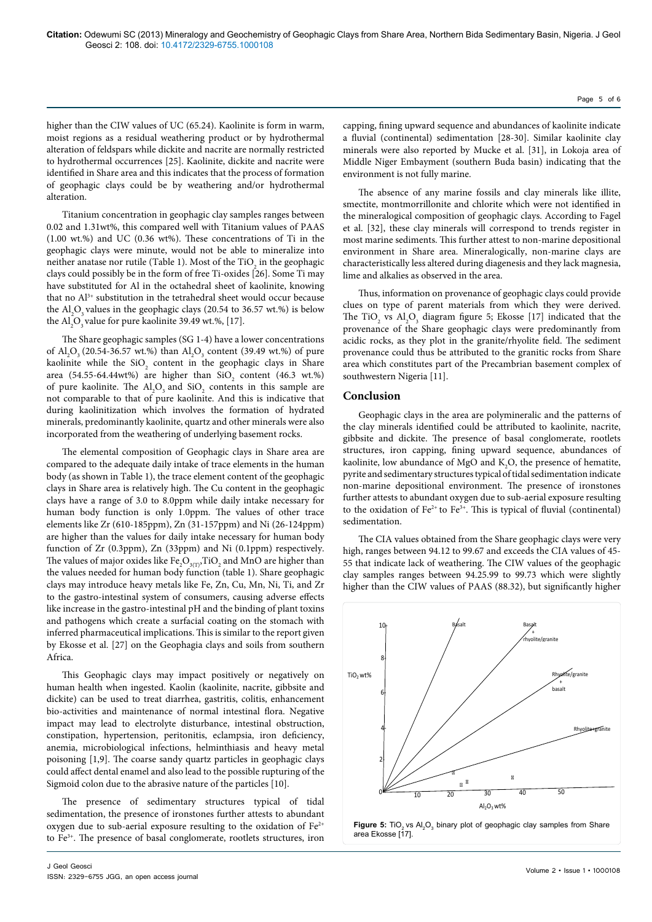higher than the CIW values of UC (65.24). Kaolinite is form in warm, moist regions as a residual weathering product or by hydrothermal alteration of feldspars while dickite and nacrite are normally restricted to hydrothermal occurrences [25]. Kaolinite, dickite and nacrite were identified in Share area and this indicates that the process of formation of geophagic clays could be by weathering and/or hydrothermal alteration.

Titanium concentration in geophagic clay samples ranges between 0.02 and 1.31wt%, this compared well with Titanium values of PAAS (1.00 wt.%) and UC (0.36 wt%). These concentrations of Ti in the geophagic clays were minute, would not be able to mineralize into neither anatase nor rutile (Table 1). Most of the TiO<sub>2</sub> in the geophagic clays could possibly be in the form of free Ti-oxides [26]. Some Ti may have substituted for Al in the octahedral sheet of kaolinite, knowing that no  $Al^{3+}$  substitution in the tetrahedral sheet would occur because the  $Al_2O_3$  values in the geophagic clays (20.54 to 36.57 wt.%) is below the  $\text{Al}_2\text{O}_3$  value for pure kaolinite 39.49 wt.%, [17].

The Share geophagic samples (SG 1-4) have a lower concentrations of  $\text{Al}_2\text{O}_3$  (20.54-36.57 wt.%) than  $\text{Al}_2\text{O}_3$  content (39.49 wt.%) of pure kaolinite while the  $SiO_2$  content in the geophagic clays in Share area (54.55-64.44wt%) are higher than  $\text{SiO}_2$  content (46.3 wt.%) of pure kaolinite. The  $\text{Al}_2\text{O}_3$  and  $\text{SiO}_2$  contents in this sample are not comparable to that of pure kaolinite. And this is indicative that during kaolinitization which involves the formation of hydrated minerals, predominantly kaolinite, quartz and other minerals were also incorporated from the weathering of underlying basement rocks.

The elemental composition of Geophagic clays in Share area are compared to the adequate daily intake of trace elements in the human body (as shown in Table 1), the trace element content of the geophagic clays in Share area is relatively high. The Cu content in the geophagic clays have a range of 3.0 to 8.0ppm while daily intake necessary for human body function is only 1.0ppm. The values of other trace elements like Zr (610-185ppm), Zn (31-157ppm) and Ni (26-124ppm) are higher than the values for daily intake necessary for human body function of Zr (0.3ppm), Zn (33ppm) and Ni (0.1ppm) respectively. The values of major oxides like  $\mathrm{Fe}_2\mathrm{O}_{_{3(T)}}\mathrm{TiO}_{_2}$  and MnO are higher than the values needed for human body function (table 1). Share geophagic clays may introduce heavy metals like Fe, Zn, Cu, Mn, Ni, Ti, and Zr to the gastro-intestinal system of consumers, causing adverse effects like increase in the gastro-intestinal pH and the binding of plant toxins and pathogens which create a surfacial coating on the stomach with inferred pharmaceutical implications. This is similar to the report given by Ekosse et al. [27] on the Geophagia clays and soils from southern Africa.

This Geophagic clays may impact positively or negatively on human health when ingested. Kaolin (kaolinite, nacrite, gibbsite and dickite) can be used to treat diarrhea, gastritis, colitis, enhancement bio-activities and maintenance of normal intestinal flora. Negative impact may lead to electrolyte disturbance, intestinal obstruction, constipation, hypertension, peritonitis, eclampsia, iron deficiency, anemia, microbiological infections, helminthiasis and heavy metal poisoning [1,9]. The coarse sandy quartz particles in geophagic clays could affect dental enamel and also lead to the possible rupturing of the Sigmoid colon due to the abrasive nature of the particles [10].

The presence of sedimentary structures typical of tidal sedimentation, the presence of ironstones further attests to abundant oxygen due to sub-aerial exposure resulting to the oxidation of  $Fe<sup>2+</sup>$ to Fe3+. The presence of basal conglomerate, rootlets structures, iron

Page 5 of 6

capping, fining upward sequence and abundances of kaolinite indicate a fluvial (continental) sedimentation [28-30]. Similar kaolinite clay minerals were also reported by Mucke et al. [31], in Lokoja area of Middle Niger Embayment (southern Buda basin) indicating that the environment is not fully marine.

The absence of any marine fossils and clay minerals like illite, smectite, montmorrillonite and chlorite which were not identified in the mineralogical composition of geophagic clays. According to Fagel et al. [32], these clay minerals will correspond to trends register in most marine sediments. This further attest to non-marine depositional environment in Share area. Mineralogically, non-marine clays are characteristically less altered during diagenesis and they lack magnesia, lime and alkalies as observed in the area.

Thus, information on provenance of geophagic clays could provide clues on type of parent materials from which they were derived. The TiO<sub>2</sub> vs  $\text{Al}_2\text{O}_3$  diagram figure 5; Ekosse [17] indicated that the provenance of the Share geophagic clays were predominantly from acidic rocks, as they plot in the granite/rhyolite field. The sediment provenance could thus be attributed to the granitic rocks from Share area which constitutes part of the Precambrian basement complex of southwestern Nigeria [11].

## **Conclusion**

Geophagic clays in the area are polymineralic and the patterns of the clay minerals identified could be attributed to kaolinite, nacrite, gibbsite and dickite. The presence of basal conglomerate, rootlets structures, iron capping, fining upward sequence, abundances of kaolinite, low abundance of MgO and  $K_2O$ , the presence of hematite, pyrite and sedimentary structures typical of tidal sedimentation indicate non-marine depositional environment. The presence of ironstones further attests to abundant oxygen due to sub-aerial exposure resulting to the oxidation of  $Fe^{2+}$  to  $Fe^{3+}$ . This is typical of fluvial (continental) sedimentation.

The CIA values obtained from the Share geophagic clays were very high, ranges between 94.12 to 99.67 and exceeds the CIA values of 45- 55 that indicate lack of weathering. The CIW values of the geophagic clay samples ranges between 94.25.99 to 99.73 which were slightly higher than the CIW values of PAAS (88.32), but significantly higher